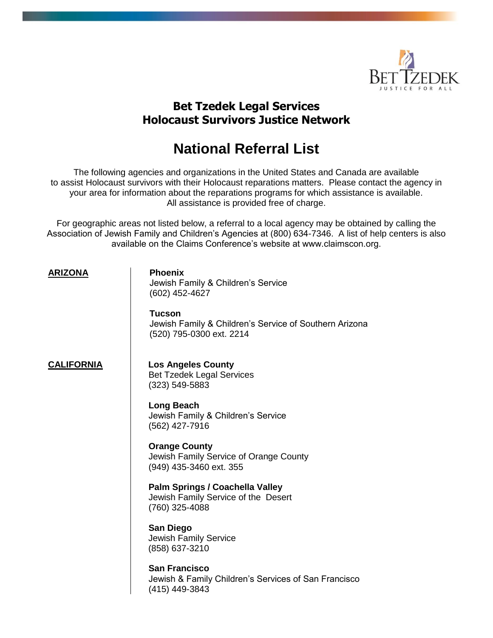

# **Bet Tzedek Legal Services Holocaust Survivors Justice Network**

# **National Referral List**

The following agencies and organizations in the United States and Canada are available to assist Holocaust survivors with their Holocaust reparations matters. Please contact the agency in your area for information about the reparations programs for which assistance is available. All assistance is provided free of charge.

For geographic areas not listed below, a referral to a local agency may be obtained by calling the Association of Jewish Family and Children's Agencies at (800) 634-7346. A list of help centers is also available on the Claims Conference's website at www.claimscon.org.

### **ARIZONA Phoenix**

Jewish Family & Children's Service (602) 452-4627

**Tucson** Jewish Family & Children's Service of Southern Arizona (520) 795-0300 ext. 2214

**CALIFORNIA Los Angeles County** Bet Tzedek Legal Services (323) 549-5883

> **Long Beach** Jewish Family & Children's Service (562) 427-7916

**Orange County** Jewish Family Service of Orange County (949) 435-3460 ext. 355

**Palm Springs / Coachella Valley**  Jewish Family Service of the Desert (760) 325-4088

**San Diego** Jewish Family Service (858) 637-3210

**San Francisco** Jewish & Family Children's Services of San Francisco (415) 449-3843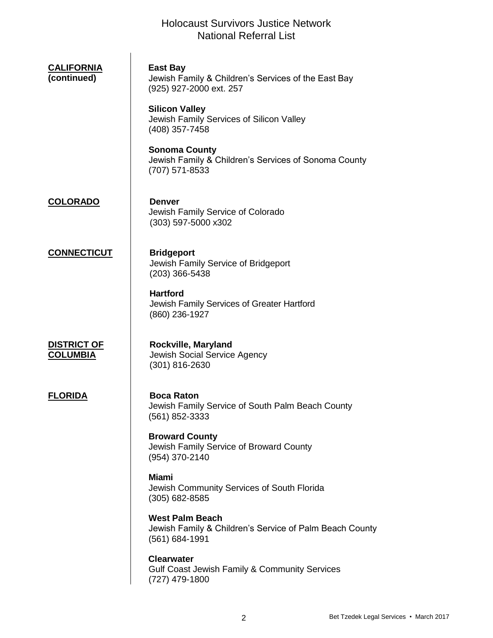| <u>CALIFORNIA</u><br>(continued)      | <b>East Bay</b><br>Jewish Family & Children's Services of the East Bay<br>(925) 927-2000 ext. 257   |
|---------------------------------------|-----------------------------------------------------------------------------------------------------|
|                                       | <b>Silicon Valley</b><br>Jewish Family Services of Silicon Valley<br>(408) 357-7458                 |
|                                       | <b>Sonoma County</b><br>Jewish Family & Children's Services of Sonoma County<br>(707) 571-8533      |
| <b>COLORADO</b>                       | <b>Denver</b><br>Jewish Family Service of Colorado<br>(303) 597-5000 x302                           |
| <b>CONNECTICUT</b>                    | <b>Bridgeport</b><br>Jewish Family Service of Bridgeport<br>$(203)$ 366-5438                        |
|                                       | <b>Hartford</b><br>Jewish Family Services of Greater Hartford<br>(860) 236-1927                     |
| <b>DISTRICT OF</b><br><u>COLUMBIA</u> | Rockville, Maryland<br>Jewish Social Service Agency<br>$(301)$ 816-2630                             |
| <b>FLORIDA</b>                        | <b>Boca Raton</b><br>Jewish Family Service of South Palm Beach County<br>(561) 852-3333             |
|                                       | <b>Broward County</b><br>Jewish Family Service of Broward County<br>(954) 370-2140                  |
|                                       | <b>Miami</b><br>Jewish Community Services of South Florida<br>(305) 682-8585                        |
|                                       | <b>West Palm Beach</b><br>Jewish Family & Children's Service of Palm Beach County<br>(561) 684-1991 |
|                                       | <b>Clearwater</b><br>Gulf Coast Jewish Family & Community Services<br>(727) 479-1800                |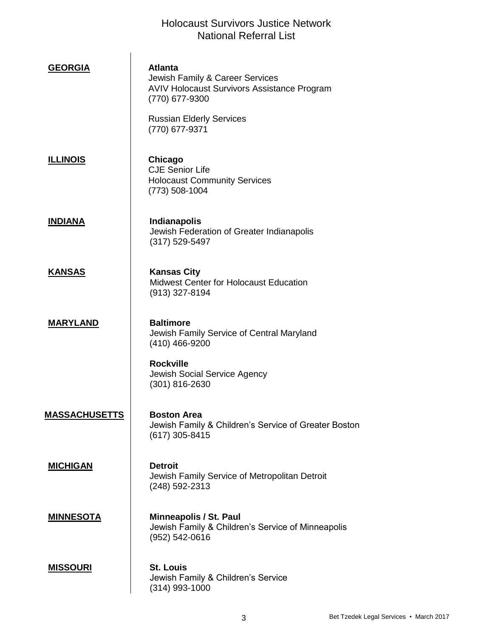| <b>GEORGIA</b>       | <b>Atlanta</b><br>Jewish Family & Career Services<br><b>AVIV Holocaust Survivors Assistance Program</b><br>(770) 677-9300<br><b>Russian Elderly Services</b><br>(770) 677-9371 |
|----------------------|--------------------------------------------------------------------------------------------------------------------------------------------------------------------------------|
| <u>ILLINOIS</u>      | Chicago<br><b>CJE Senior Life</b><br><b>Holocaust Community Services</b><br>$(773)$ 508-1004                                                                                   |
| <b>INDIANA</b>       | <b>Indianapolis</b><br>Jewish Federation of Greater Indianapolis<br>$(317) 529 - 5497$                                                                                         |
| <b>KANSAS</b>        | <b>Kansas City</b><br>Midwest Center for Holocaust Education<br>$(913)$ 327-8194                                                                                               |
| <b>MARYLAND</b>      | <b>Baltimore</b><br>Jewish Family Service of Central Maryland<br>(410) 466-9200<br><b>Rockville</b><br>Jewish Social Service Agency                                            |
|                      | $(301)$ 816-2630                                                                                                                                                               |
| <b>MASSACHUSETTS</b> | <b>Boston Area</b><br>Jewish Family & Children's Service of Greater Boston<br>(617) 305-8415                                                                                   |
| <b>MICHIGAN</b>      | <b>Detroit</b><br>Jewish Family Service of Metropolitan Detroit<br>(248) 592-2313                                                                                              |
| <u>MINNESOTA</u>     | Minneapolis / St. Paul<br>Jewish Family & Children's Service of Minneapolis<br>(952) 542-0616                                                                                  |
| <b>MISSOURI</b>      | <b>St. Louis</b><br>Jewish Family & Children's Service<br>(314) 993-1000                                                                                                       |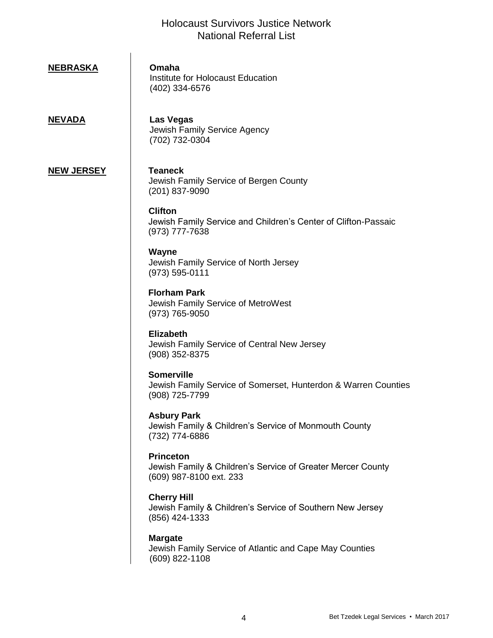# **NEBRASKA Omaha** Institute for Holocaust Education (402) 334-6576

**NEVADA Las Vegas** Jewish Family Service Agency (702) 732-0304

#### **NEW JERSEY Teaneck**

Jewish Family Service of Bergen County (201) 837-9090

## **Clifton**

Jewish Family Service and Children's Center of Clifton-Passaic (973) 777-7638

#### **Wayne** Jewish Family Service of North Jersey (973) 595-0111

**Florham Park** Jewish Family Service of MetroWest (973) 765-9050

**Elizabeth** Jewish Family Service of Central New Jersey (908) 352-8375

### **Somerville**

Jewish Family Service of Somerset, Hunterdon & Warren Counties (908) 725-7799

**Asbury Park** Jewish Family & Children's Service of Monmouth County (732) 774-6886

#### **Princeton** Jewish Family & Children's Service of Greater Mercer County (609) 987-8100 ext. 233

#### **Cherry Hill** Jewish Family & Children's Service of Southern New Jersey (856) 424-1333

#### **Margate**

Jewish Family Service of Atlantic and Cape May Counties (609) 822-1108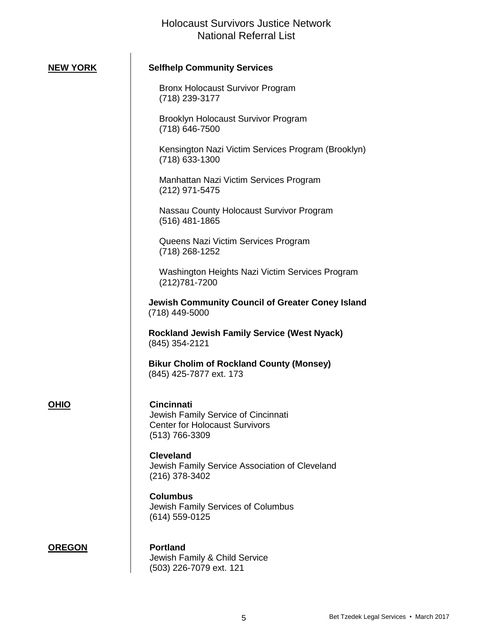$\hat{\mathbf{r}}$ 

| <b>NEW YORK</b> | <b>Selfhelp Community Services</b>                                                                                  |
|-----------------|---------------------------------------------------------------------------------------------------------------------|
|                 | <b>Bronx Holocaust Survivor Program</b><br>(718) 239-3177                                                           |
|                 | Brooklyn Holocaust Survivor Program<br>(718) 646-7500                                                               |
|                 | Kensington Nazi Victim Services Program (Brooklyn)<br>(718) 633-1300                                                |
|                 | Manhattan Nazi Victim Services Program<br>(212) 971-5475                                                            |
|                 | Nassau County Holocaust Survivor Program<br>(516) 481-1865                                                          |
|                 | Queens Nazi Victim Services Program<br>(718) 268-1252                                                               |
|                 | Washington Heights Nazi Victim Services Program<br>(212) 781-7200                                                   |
|                 | Jewish Community Council of Greater Coney Island<br>(718) 449-5000                                                  |
|                 | <b>Rockland Jewish Family Service (West Nyack)</b><br>(845) 354-2121                                                |
|                 | <b>Bikur Cholim of Rockland County (Monsey)</b><br>(845) 425-7877 ext. 173                                          |
| <u>OHIO</u>     | <b>Cincinnati</b><br>Jewish Family Service of Cincinnati<br><b>Center for Holocaust Survivors</b><br>(513) 766-3309 |
|                 | <b>Cleveland</b><br>Jewish Family Service Association of Cleveland<br>(216) 378-3402                                |
|                 | <b>Columbus</b><br>Jewish Family Services of Columbus<br>(614) 559-0125                                             |
| <b>OREGON</b>   | <b>Portland</b><br>Jewish Family & Child Service<br>(503) 226-7079 ext. 121                                         |